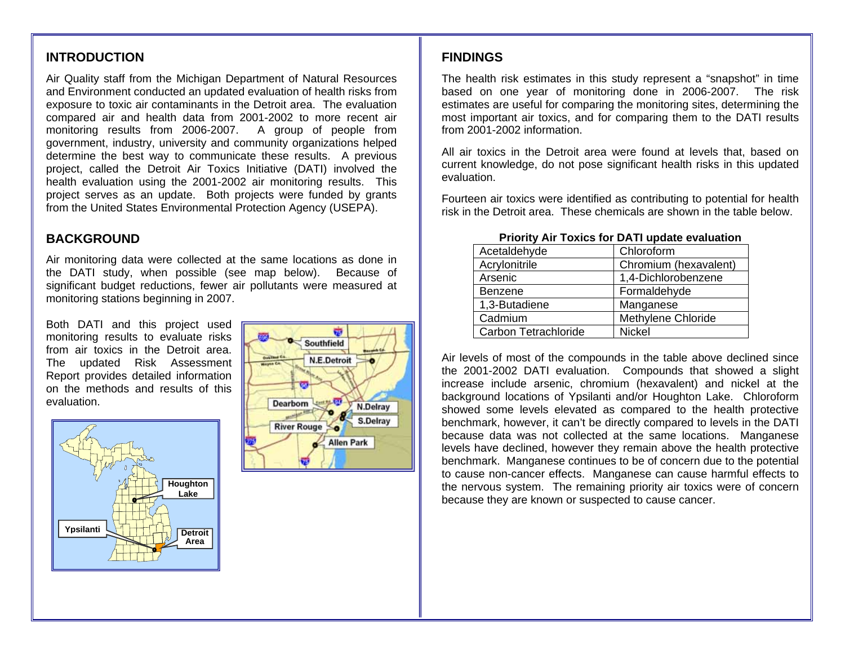# **INTRODUCTION**

Air Quality staff from the Michigan Department of Natural Resources and Environment conducted an updated evaluation of health risks from exposure to toxic air contaminants in the Detroit area. The evaluation compared air and health data from 2001-2002 to more recent air monitoring results from 2006-2007. A group of people from government, industry, university and community organizations helped determine the best way to communicate these results. A previous project, called the Detroit Air Toxics Initiative (DATI) involved the health evaluation using the 2001-2002 air monitoring results. This project serves as an update. Both projects were funded by grants from the United States Environmental Protection Agency (USEPA).

## **BACKGROUND**

Air monitoring data were collected at the same locations as done in the DATI study, when possible (see map below). Because of significant budget reductions, fewer air pollutants were measured at monitoring stations beginning in 2007.

Both DATI and this project used monitoring results to evaluate risks from air toxics in the Detroit area. The updated Risk Assessment Report provides detailed information on the methods and results of this evaluation.





## **FINDINGS**

The health risk estimates in this study represent a "snapshot" in time based on one year of monitoring done in 2006-2007. The risk estimates are useful for comparing the monitoring sites, determining the most important air toxics, and for comparing them to the DATI results from 2001-2002 information.

All air toxics in the Detroit area were found at levels that, based on current knowledge, do not pose significant health risks in this updated evaluation.

Fourteen air toxics were identified as contributing to potential for health risk in the Detroit area. These chemicals are shown in the table below.

| Acetaldehyde         | Chloroform            |
|----------------------|-----------------------|
| Acrylonitrile        | Chromium (hexavalent) |
| Arsenic              | 1,4-Dichlorobenzene   |
| <b>Benzene</b>       | Formaldehyde          |
| 1,3-Butadiene        | Manganese             |
| Cadmium              | Methylene Chloride    |
| Carbon Tetrachloride | <b>Nickel</b>         |

#### **Priority Air Toxics for DATI update evaluation**

Air levels of most of the compounds in the table above declined since the 2001-2002 DATI evaluation. Compounds that showed a slight increase include arsenic, chromium (hexavalent) and nickel at the background locations of Ypsilanti and/or Houghton Lake. Chloroform showed some levels elevated as compared to the health protective benchmark, however, it can't be directly compared to levels in the DATI because data was not collected at the same locations. Manganese levels have declined, however they remain above the health protective benchmark. Manganese continues to be of concern due to the potential to cause non-cancer effects. Manganese can cause harmful effects to the nervous system. The remaining priority air toxics were of concern because they are known or suspected to cause cancer.